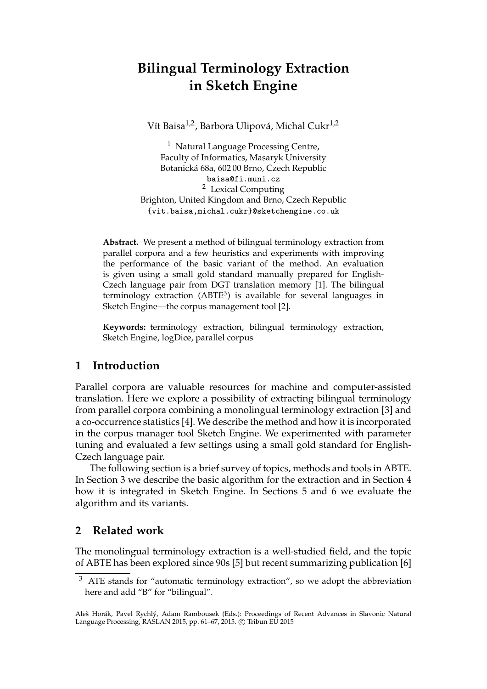# **Bilingual Terminology Extraction in Sketch Engine**

Vít Baisa<sup>1,2</sup>, Barbora Ulipová, Michal Cukr<sup>1,2</sup>

<sup>1</sup> Natural Language Processing Centre, Faculty of Informatics, Masaryk University Botanická 68a, 602 00 Brno, Czech Republic baisa@fi.muni.cz <sup>2</sup> Lexical Computing Brighton, United Kingdom and Brno, Czech Republic {vit.baisa,michal.cukr}@sketchengine.co.uk

**Abstract.** We present a method of bilingual terminology extraction from parallel corpora and a few heuristics and experiments with improving the performance of the basic variant of the method. An evaluation is given using a small gold standard manually prepared for English-Czech language pair from DGT translation memory [1]. The bilingual terminology extraction (ABTE $3$ ) is available for several languages in Sketch Engine—the corpus management tool [2].

**Keywords:** terminology extraction, bilingual terminology extraction, Sketch Engine, logDice, parallel corpus

### **1 Introduction**

Parallel corpora are valuable resources for machine and computer-assisted translation. Here we explore a possibility of extracting bilingual terminology from parallel corpora combining a monolingual terminology extraction [3] and a co-occurrence statistics [4]. We describe the method and how it is incorporated in the corpus manager tool Sketch Engine. We experimented with parameter tuning and evaluated a few settings using a small gold standard for English-Czech language pair.

The following section is a brief survey of topics, methods and tools in ABTE. In Section 3 we describe the basic algorithm for the extraction and in Section 4 how it is integrated in Sketch Engine. In Sections 5 and 6 we evaluate the algorithm and its variants.

## **2 Related work**

The monolingual terminology extraction is a well-studied field, and the topic of ABTE has been explored since 90s [5] but recent summarizing publication [6]

<sup>&</sup>lt;sup>3</sup> ATE stands for "automatic terminology extraction", so we adopt the abbreviation here and add "B" for "bilingual".

Aleš Horák, Pavel Rychlý, Adam Rambousek (Eds.): Proceedings of Recent Advances in Slavonic Natural Language Processing, RASLAN 2015, pp. 61-67, 2015. © Tribun EU 2015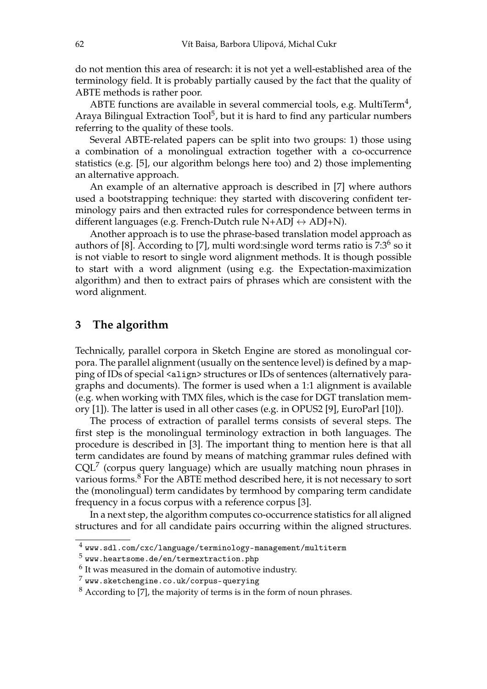do not mention this area of research: it is not yet a well-established area of the terminology field. It is probably partially caused by the fact that the quality of ABTE methods is rather poor.

ABTE functions are available in several commercial tools, e.g. MultiTerm<sup>4</sup>, Araya Bilingual Extraction Tool<sup>5</sup>, but it is hard to find any particular numbers referring to the quality of these tools.

Several ABTE-related papers can be split into two groups: 1) those using a combination of a monolingual extraction together with a co-occurrence statistics (e.g. [5], our algorithm belongs here too) and 2) those implementing an alternative approach.

An example of an alternative approach is described in [7] where authors used a bootstrapping technique: they started with discovering confident terminology pairs and then extracted rules for correspondence between terms in different languages (e.g. French-Dutch rule N+ADJ  $\leftrightarrow$  ADJ+N).

Another approach is to use the phrase-based translation model approach as authors of [8]. According to [7], multi word: single word terms ratio is 7:3<sup>6</sup> so it is not viable to resort to single word alignment methods. It is though possible to start with a word alignment (using e.g. the Expectation-maximization algorithm) and then to extract pairs of phrases which are consistent with the word alignment.

#### **3 The algorithm**

Technically, parallel corpora in Sketch Engine are stored as monolingual corpora. The parallel alignment (usually on the sentence level) is defined by a mapping of IDs of special <align> structures or IDs of sentences (alternatively paragraphs and documents). The former is used when a 1:1 alignment is available (e.g. when working with TMX files, which is the case for DGT translation memory [1]). The latter is used in all other cases (e.g. in OPUS2 [9], EuroParl [10]).

The process of extraction of parallel terms consists of several steps. The first step is the monolingual terminology extraction in both languages. The procedure is described in [3]. The important thing to mention here is that all term candidates are found by means of matching grammar rules defined with  $CQL<sup>7</sup>$  (corpus query language) which are usually matching noun phrases in various forms.<sup>8</sup> For the ABTE method described here, it is not necessary to sort the (monolingual) term candidates by termhood by comparing term candidate frequency in a focus corpus with a reference corpus [3].

In a next step, the algorithm computes co-occurrence statistics for all aligned structures and for all candidate pairs occurring within the aligned structures.

 $^4$  www.sdl.com/cxc/language/terminology-management/multiterm

 $^5$  www.heartsome.de/en/termextraction.php

 $6$  It was measured in the domain of automotive industry.

 $^7$  www.sketchengine.co.uk/corpus-querying

 $8$  According to [7], the majority of terms is in the form of noun phrases.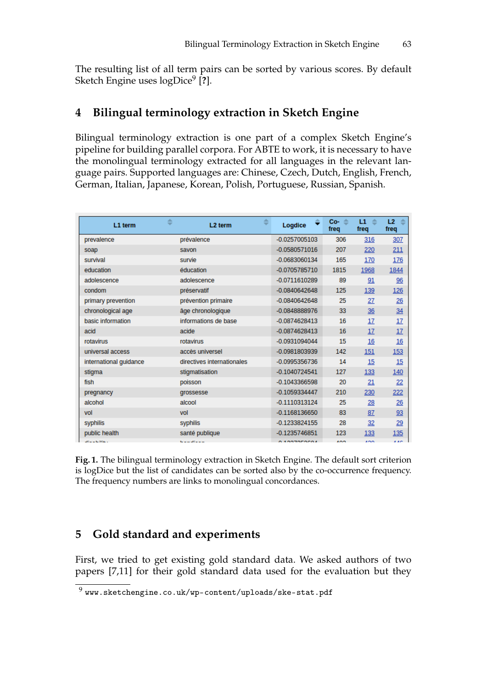The resulting list of all term pairs can be sorted by various scores. By default Sketch Engine uses logDice<sup>9</sup> [**?**].

## **4 Bilingual terminology extraction in Sketch Engine**

Bilingual terminology extraction is one part of a complex Sketch Engine's pipeline for building parallel corpora. For ABTE to work, it is necessary to have the monolingual terminology extracted for all languages in the relevant language pairs. Supported languages are: Chinese, Czech, Dutch, English, French, German, Italian, Japanese, Korean, Polish, Portuguese, Russian, Spanish.

| L1 term                | 盀<br>L <sub>2</sub> term   | ዹ | ≑<br>Logdice    | $\Rightarrow$<br>Co-<br>freq | ≐<br>L1<br>freq | L2<br>÷<br>freq |
|------------------------|----------------------------|---|-----------------|------------------------------|-----------------|-----------------|
| prevalence             | prévalence                 |   | $-0.0257005103$ | 306                          | 316             | 307             |
| soap                   | savon                      |   | $-0.0580571016$ | 207                          | 220             | 211             |
| survival               | survie                     |   | $-0.0683060134$ | 165                          | 170             | 176             |
| education              | éducation                  |   | -0.0705785710   | 1815                         | 1968            | 1844            |
| adolescence            | adolescence                |   | $-0.0711610289$ | 89                           | 91              | 96              |
| condom                 | préservatif                |   | $-0.0840642648$ | 125                          | 139             | 126             |
| primary prevention     | prévention primaire        |   | $-0.0840642648$ | 25                           | 27              | $\frac{26}{5}$  |
| chronological age      | âge chronologique          |   | $-0.0848888976$ | 33                           | 36              | 34              |
| basic information      | informations de base       |   | $-0.0874628413$ | 16                           | <u>17</u>       | 17              |
| acid                   | acide                      |   | $-0.0874628413$ | 16                           | 17              | 17              |
| rotavirus              | rotavirus                  |   | $-0.0931094044$ | 15                           | 16              | 16              |
| universal access       | accès universel            |   | $-0.0981803939$ | 142                          | 151             | <u>153</u>      |
| international guidance | directives internationales |   | $-0.0995356736$ | 14                           | 15              | 15              |
| stigma                 | stigmatisation             |   | $-0.1040724541$ | 127                          | 133             | 140             |
| fish                   | poisson                    |   | $-0.1043366598$ | 20                           | 21              | 22              |
| pregnancy              | grossesse                  |   | $-0.1059334447$ | 210                          | 230             | 222             |
| alcohol                | alcool                     |   | $-0.1110313124$ | 25                           | 28              | 26              |
| vol                    | vol                        |   | $-0.1168136650$ | 83                           | 87              | 93              |
| syphilis               | syphilis                   |   | $-0.1233824155$ | 28                           | 32              | 29              |
| public health          | santé publique             |   | $-0.1235746851$ | 123                          | 133             | <u>135</u>      |
| $25 - 1.364$           | the manufacturers of       |   | 0.40070F0004    | 400                          | $\overline{AB}$ | 4.475           |

**Fig. 1.** The bilingual terminology extraction in Sketch Engine. The default sort criterion is logDice but the list of candidates can be sorted also by the co-occurrence frequency. The frequency numbers are links to monolingual concordances.

## **5 Gold standard and experiments**

First, we tried to get existing gold standard data. We asked authors of two papers [7,11] for their gold standard data used for the evaluation but they

 $^9$  www.sketchengine.co.uk/wp-content/uploads/ske-stat.pdf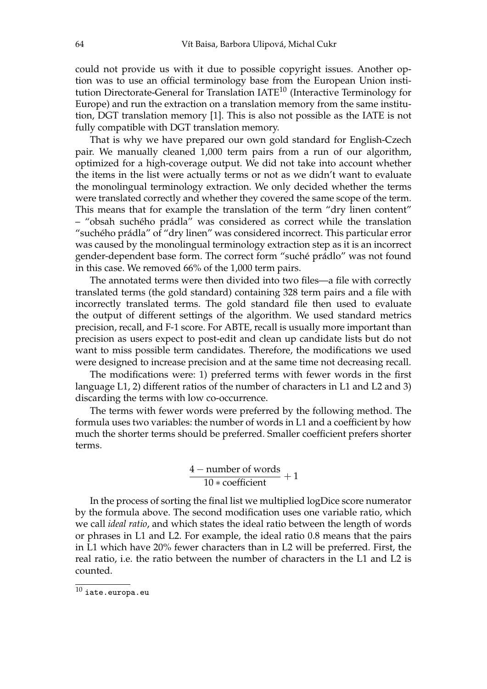could not provide us with it due to possible copyright issues. Another option was to use an official terminology base from the European Union institution Directorate-General for Translation IATE<sup>10</sup> (Interactive Terminology for Europe) and run the extraction on a translation memory from the same institution, DGT translation memory [1]. This is also not possible as the IATE is not fully compatible with DGT translation memory.

That is why we have prepared our own gold standard for English-Czech pair. We manually cleaned 1,000 term pairs from a run of our algorithm, optimized for a high-coverage output. We did not take into account whether the items in the list were actually terms or not as we didn't want to evaluate the monolingual terminology extraction. We only decided whether the terms were translated correctly and whether they covered the same scope of the term. This means that for example the translation of the term "dry linen content" – "obsah suchého prádla" was considered as correct while the translation "suchého prádla" of "dry linen" was considered incorrect. This particular error was caused by the monolingual terminology extraction step as it is an incorrect gender-dependent base form. The correct form "suché prádlo" was not found in this case. We removed 66% of the 1,000 term pairs.

The annotated terms were then divided into two files—a file with correctly translated terms (the gold standard) containing 328 term pairs and a file with incorrectly translated terms. The gold standard file then used to evaluate the output of different settings of the algorithm. We used standard metrics precision, recall, and F-1 score. For ABTE, recall is usually more important than precision as users expect to post-edit and clean up candidate lists but do not want to miss possible term candidates. Therefore, the modifications we used were designed to increase precision and at the same time not decreasing recall.

The modifications were: 1) preferred terms with fewer words in the first language L1, 2) different ratios of the number of characters in L1 and L2 and 3) discarding the terms with low co-occurrence.

The terms with fewer words were preferred by the following method. The formula uses two variables: the number of words in L1 and a coefficient by how much the shorter terms should be preferred. Smaller coefficient prefers shorter terms.

$$
\frac{4-number\ of\ words}{10*coefficient} + 1
$$

In the process of sorting the final list we multiplied logDice score numerator by the formula above. The second modification uses one variable ratio, which we call *ideal ratio*, and which states the ideal ratio between the length of words or phrases in L1 and L2. For example, the ideal ratio 0.8 means that the pairs in L1 which have 20% fewer characters than in L2 will be preferred. First, the real ratio, i.e. the ratio between the number of characters in the L1 and L2 is counted.

 $^{10}$ iate.europa.eu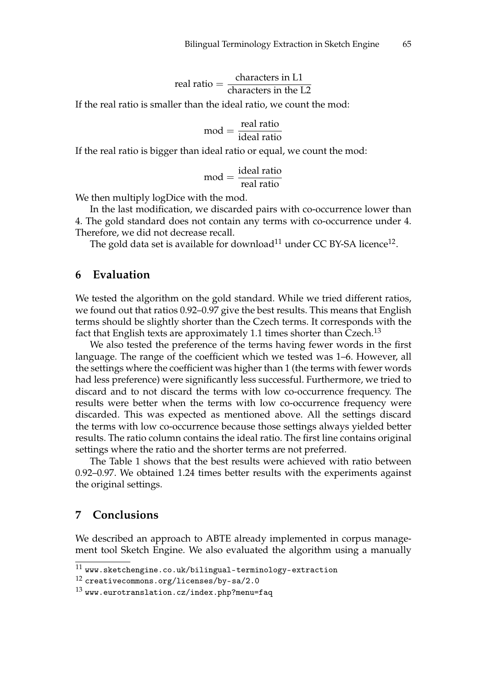real ratio = 
$$
\frac{\text{characters in L1}}{\text{characters in the L2}}
$$

If the real ratio is smaller than the ideal ratio, we count the mod:

$$
mod = \frac{real\ ratio}{ideal\ ratio}
$$

If the real ratio is bigger than ideal ratio or equal, we count the mod:

$$
mod = \frac{ideal ratio}{real ratio}
$$

We then multiply logDice with the mod.

In the last modification, we discarded pairs with co-occurrence lower than 4. The gold standard does not contain any terms with co-occurrence under 4. Therefore, we did not decrease recall.

The gold data set is available for download $^{11}$  under CC BY-SA licence $^{12}$ .

#### **6 Evaluation**

We tested the algorithm on the gold standard. While we tried different ratios, we found out that ratios 0.92–0.97 give the best results. This means that English terms should be slightly shorter than the Czech terms. It corresponds with the fact that English texts are approximately 1.1 times shorter than Czech.<sup>13</sup>

We also tested the preference of the terms having fewer words in the first language. The range of the coefficient which we tested was 1–6. However, all the settings where the coefficient was higher than 1 (the terms with fewer words had less preference) were significantly less successful. Furthermore, we tried to discard and to not discard the terms with low co-occurrence frequency. The results were better when the terms with low co-occurrence frequency were discarded. This was expected as mentioned above. All the settings discard the terms with low co-occurrence because those settings always yielded better results. The ratio column contains the ideal ratio. The first line contains original settings where the ratio and the shorter terms are not preferred.

The Table 1 shows that the best results were achieved with ratio between 0.92–0.97. We obtained 1.24 times better results with the experiments against the original settings.

#### **7 Conclusions**

We described an approach to ABTE already implemented in corpus management tool Sketch Engine. We also evaluated the algorithm using a manually

 $^\mathrm{11}$ www.sketchengine.co.uk/bilingual-terminology-extraction

<sup>12</sup> creativecommons.org/licenses/by-sa/2.0

 $^{13}$  www.eurotranslation.cz/index.php?menu=faq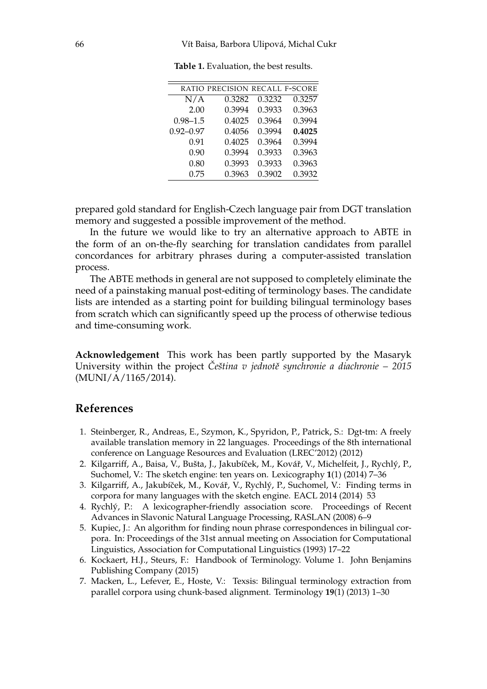|               | RATIO PRECISION RECALL F-SCORE |        |        |
|---------------|--------------------------------|--------|--------|
| N/A           | 0.3282                         | 0.3232 | 0.3257 |
| 2.00          | 0.3994                         | 0.3933 | 0.3963 |
| $0.98 - 1.5$  | 0.4025                         | 0.3964 | 0.3994 |
| $0.92 - 0.97$ | 0.4056                         | 0.3994 | 0.4025 |
| 0.91          | 0.4025                         | 0.3964 | 0.3994 |
| 0.90          | 0.3994                         | 0.3933 | 0.3963 |
| 0.80          | 0.3993                         | 0.3933 | 0.3963 |
| 0.75          | 0.3963                         | 0.3902 | 0.3932 |
|               |                                |        |        |

**Table 1.** Evaluation, the best results.

prepared gold standard for English-Czech language pair from DGT translation memory and suggested a possible improvement of the method.

In the future we would like to try an alternative approach to ABTE in the form of an on-the-fly searching for translation candidates from parallel concordances for arbitrary phrases during a computer-assisted translation process.

The ABTE methods in general are not supposed to completely eliminate the need of a painstaking manual post-editing of terminology bases. The candidate lists are intended as a starting point for building bilingual terminology bases from scratch which can significantly speed up the process of otherwise tedious and time-consuming work.

**Acknowledgement** This work has been partly supported by the Masaryk University within the project *Čeština v jednotě synchronie a diachronie – 2015* (MUNI/A/1165/2014).

#### **References**

- 1. Steinberger, R., Andreas, E., Szymon, K., Spyridon, P., Patrick, S.: Dgt-tm: A freely available translation memory in 22 languages. Proceedings of the 8th international conference on Language Resources and Evaluation (LREC'2012) (2012)
- 2. Kilgarriff, A., Baisa, V., Bušta, J., Jakubíček, M., Kovář, V., Michelfeit, J., Rychlý, P., Suchomel, V.: The sketch engine: ten years on. Lexicography **1**(1) (2014) 7–36
- 3. Kilgarriff, A., Jakubíček, M., Kovář, V., Rychlý, P., Suchomel, V.: Finding terms in corpora for many languages with the sketch engine. EACL 2014 (2014) 53
- 4. Rychlý, P.: A lexicographer-friendly association score. Proceedings of Recent Advances in Slavonic Natural Language Processing, RASLAN (2008) 6–9
- 5. Kupiec, J.: An algorithm for finding noun phrase correspondences in bilingual corpora. In: Proceedings of the 31st annual meeting on Association for Computational Linguistics, Association for Computational Linguistics (1993) 17–22
- 6. Kockaert, H.J., Steurs, F.: Handbook of Terminology. Volume 1. John Benjamins Publishing Company (2015)
- 7. Macken, L., Lefever, E., Hoste, V.: Texsis: Bilingual terminology extraction from parallel corpora using chunk-based alignment. Terminology **19**(1) (2013) 1–30